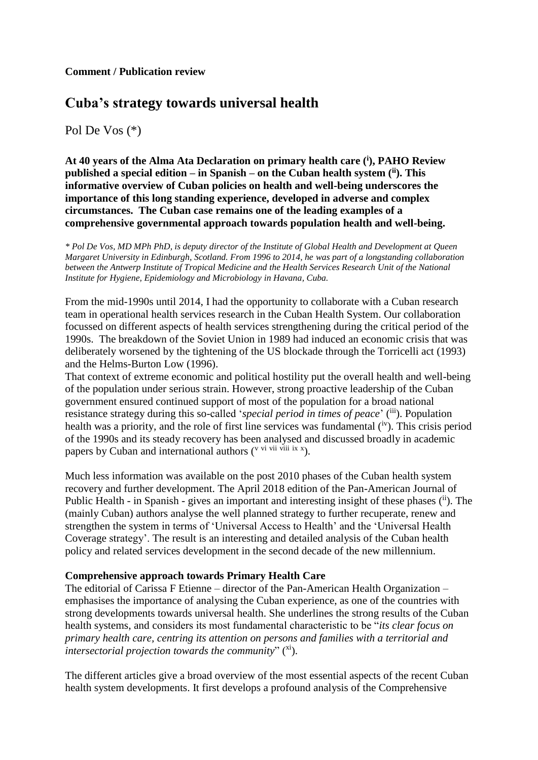# **Cuba's strategy towards universal health**

Pol De Vos (\*)

**At 40 years of the Alma Ata Declaration on primary health care (<sup>i</sup> ), PAHO Review published a special edition – in Spanish – on the Cuban health system ( ii). This informative overview of Cuban policies on health and well-being underscores the importance of this long standing experience, developed in adverse and complex circumstances. The Cuban case remains one of the leading examples of a comprehensive governmental approach towards population health and well-being.** 

*\* Pol De Vos, MD MPh PhD, is deputy director of the Institute of Global Health and Development at Queen Margaret University in Edinburgh, Scotland. From 1996 to 2014, he was part of a longstanding collaboration between the Antwerp Institute of Tropical Medicine and the Health Services Research Unit of the National Institute for Hygiene, Epidemiology and Microbiology in Havana, Cuba.* 

From the mid-1990s until 2014, I had the opportunity to collaborate with a Cuban research team in operational health services research in the Cuban Health System. Our collaboration focussed on different aspects of health services strengthening during the critical period of the 1990s. The breakdown of the Soviet Union in 1989 had induced an economic crisis that was deliberately worsened by the tightening of the US blockade through the Torricelli act (1993) and the Helms-Burton Low (1996).

That context of extreme economic and political hostility put the overall health and well-being of the population under serious strain. However, strong proactive leadership of the Cuban government ensured continued support of most of the population for a broad national resistance strategy during this so-called 'special period in times of peace' (iii). Population health was a priority, and the role of first line services was fundamental  $(iv)$ . This crisis period of the 1990s and its steady recovery has been analysed and discussed broadly in academic papers by Cuban and international authors ( $v$  vi vii viii ix x).

Much less information was available on the post 2010 phases of the Cuban health system recovery and further development. The April 2018 edition of the Pan-American Journal of Public Health - in Spanish - gives an important and interesting insight of these phases (ii). The (mainly Cuban) authors analyse the well planned strategy to further recuperate, renew and strengthen the system in terms of 'Universal Access to Health' and the 'Universal Health Coverage strategy'. The result is an interesting and detailed analysis of the Cuban health policy and related services development in the second decade of the new millennium.

## **Comprehensive approach towards Primary Health Care**

The editorial of Carissa F Etienne – director of the Pan-American Health Organization – emphasises the importance of analysing the Cuban experience, as one of the countries with strong developments towards universal health. She underlines the strong results of the Cuban health systems, and considers its most fundamental characteristic to be "*its clear focus on primary health care, centring its attention on persons and families with a territorial and*  intersectorial projection towards the community" (xi).

The different articles give a broad overview of the most essential aspects of the recent Cuban health system developments. It first develops a profound analysis of the Comprehensive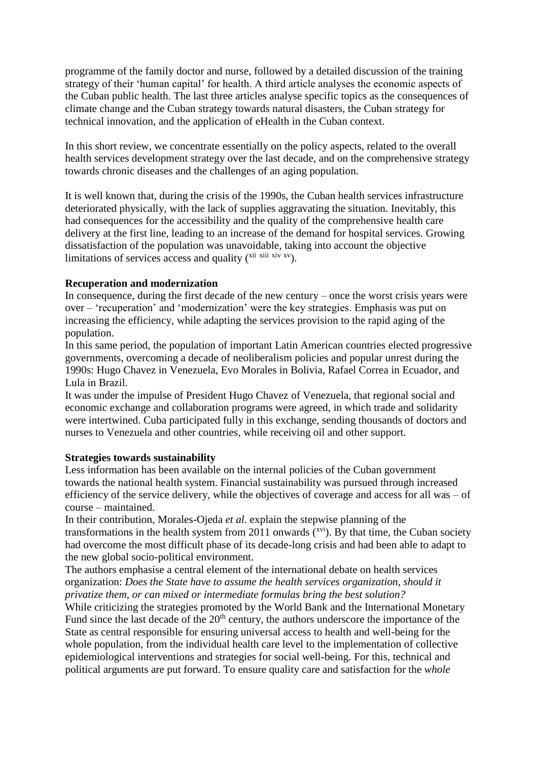programme of the family doctor and nurse, followed by a detailed discussion of the training strategy of their 'human capital' for health. A third article analyses the economic aspects of the Cuban public health. The last three articles analyse specific topics as the consequences of climate change and the Cuban strategy towards natural disasters, the Cuban strategy for technical innovation, and the application of eHealth in the Cuban context.

In this short review, we concentrate essentially on the policy aspects, related to the overall health services development strategy over the last decade, and on the comprehensive strategy towards chronic diseases and the challenges of an aging population.

It is well known that, during the crisis of the 1990s, the Cuban health services infrastructure deteriorated physically, with the lack of supplies aggravating the situation. Inevitably, this had consequences for the accessibility and the quality of the comprehensive health care delivery at the first line, leading to an increase of the demand for hospital services. Growing dissatisfaction of the population was unavoidable, taking into account the objective limitations of services access and quality  $($ <sup>xii xiii xiv xv</sup> $)$ .

## **Recuperation and modernization**

In consequence, during the first decade of the new century – once the worst crisis years were over – 'recuperation' and 'modernization' were the key strategies. Emphasis was put on increasing the efficiency, while adapting the services provision to the rapid aging of the population.

In this same period, the population of important Latin American countries elected progressive governments, overcoming a decade of neoliberalism policies and popular unrest during the 1990s: Hugo Chavez in Venezuela, Evo Morales in Bolivia, Rafael Correa in Ecuador, and Lula in Brazil.

It was under the impulse of President Hugo Chavez of Venezuela, that regional social and economic exchange and collaboration programs were agreed, in which trade and solidarity were intertwined. Cuba participated fully in this exchange, sending thousands of doctors and nurses to Venezuela and other countries, while receiving oil and other support.

#### **Strategies towards sustainability**

Less information has been available on the internal policies of the Cuban government towards the national health system. Financial sustainability was pursued through increased efficiency of the service delivery, while the objectives of coverage and access for all was – of course – maintained.

In their contribution, Morales-Ojeda *et al.* explain the stepwise planning of the transformations in the health system from 2011 onwards  $({}^{xvi})$ . By that time, the Cuban society had overcome the most difficult phase of its decade-long crisis and had been able to adapt to the new global socio-political environment.

The authors emphasise a central element of the international debate on health services organization: *Does the State have to assume the health services organization, should it privatize them, or can mixed or intermediate formulas bring the best solution?*

While criticizing the strategies promoted by the World Bank and the International Monetary Fund since the last decade of the  $20<sup>th</sup>$  century, the authors underscore the importance of the State as central responsible for ensuring universal access to health and well-being for the whole population, from the individual health care level to the implementation of collective epidemiological interventions and strategies for social well-being. For this, technical and political arguments are put forward. To ensure quality care and satisfaction for the *whole*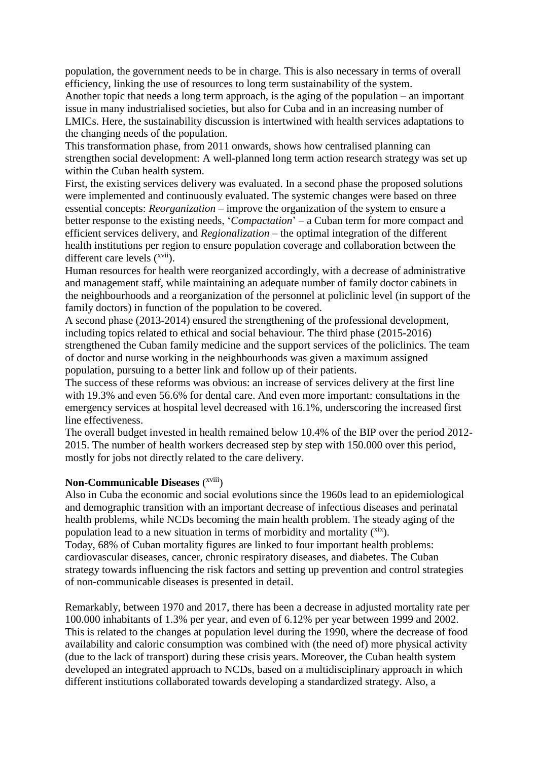population, the government needs to be in charge. This is also necessary in terms of overall efficiency, linking the use of resources to long term sustainability of the system.

Another topic that needs a long term approach, is the aging of the population – an important issue in many industrialised societies, but also for Cuba and in an increasing number of LMICs. Here, the sustainability discussion is intertwined with health services adaptations to the changing needs of the population.

This transformation phase, from 2011 onwards, shows how centralised planning can strengthen social development: A well-planned long term action research strategy was set up within the Cuban health system.

First, the existing services delivery was evaluated. In a second phase the proposed solutions were implemented and continuously evaluated. The systemic changes were based on three essential concepts: *Reorganization* – improve the organization of the system to ensure a better response to the existing needs, '*Compactation*' – a Cuban term for more compact and efficient services delivery, and *Regionalization* – the optimal integration of the different health institutions per region to ensure population coverage and collaboration between the different care levels  $($ <sup>xvii</sup> $)$ .

Human resources for health were reorganized accordingly, with a decrease of administrative and management staff, while maintaining an adequate number of family doctor cabinets in the neighbourhoods and a reorganization of the personnel at policlinic level (in support of the family doctors) in function of the population to be covered.

A second phase (2013-2014) ensured the strengthening of the professional development, including topics related to ethical and social behaviour. The third phase (2015-2016) strengthened the Cuban family medicine and the support services of the policlinics. The team of doctor and nurse working in the neighbourhoods was given a maximum assigned population, pursuing to a better link and follow up of their patients.

The success of these reforms was obvious: an increase of services delivery at the first line with 19.3% and even 56.6% for dental care. And even more important: consultations in the emergency services at hospital level decreased with 16.1%, underscoring the increased first line effectiveness.

The overall budget invested in health remained below 10.4% of the BIP over the period 2012- 2015. The number of health workers decreased step by step with 150.000 over this period, mostly for jobs not directly related to the care delivery.

### **Non-Communicable Diseases** ( xviii)

Also in Cuba the economic and social evolutions since the 1960s lead to an epidemiological and demographic transition with an important decrease of infectious diseases and perinatal health problems, while NCDs becoming the main health problem. The steady aging of the population lead to a new situation in terms of morbidity and mortality  $($ <sup>xix</sup> $)$ .

Today, 68% of Cuban mortality figures are linked to four important health problems: cardiovascular diseases, cancer, chronic respiratory diseases, and diabetes. The Cuban strategy towards influencing the risk factors and setting up prevention and control strategies of non-communicable diseases is presented in detail.

Remarkably, between 1970 and 2017, there has been a decrease in adjusted mortality rate per 100.000 inhabitants of 1.3% per year, and even of 6.12% per year between 1999 and 2002. This is related to the changes at population level during the 1990, where the decrease of food availability and caloric consumption was combined with (the need of) more physical activity (due to the lack of transport) during these crisis years. Moreover, the Cuban health system developed an integrated approach to NCDs, based on a multidisciplinary approach in which different institutions collaborated towards developing a standardized strategy. Also, a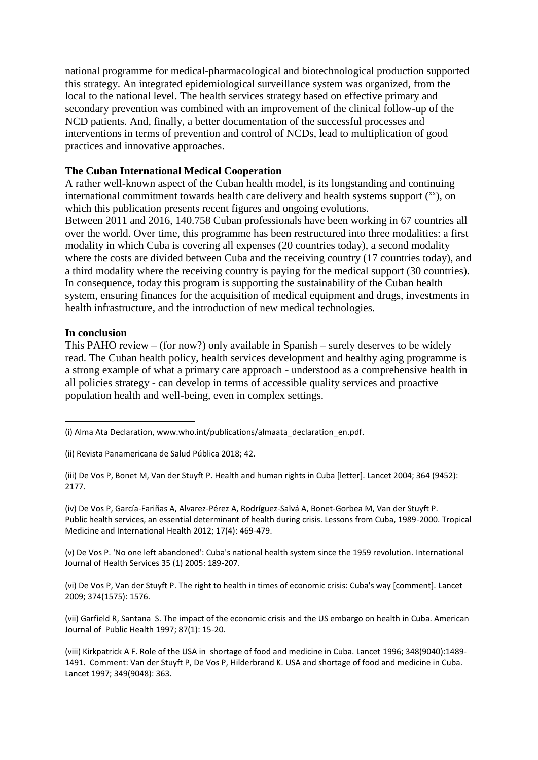national programme for medical-pharmacological and biotechnological production supported this strategy. An integrated epidemiological surveillance system was organized, from the local to the national level. The health services strategy based on effective primary and secondary prevention was combined with an improvement of the clinical follow-up of the NCD patients. And, finally, a better documentation of the successful processes and interventions in terms of prevention and control of NCDs, lead to multiplication of good practices and innovative approaches.

## **The Cuban International Medical Cooperation**

A rather well-known aspect of the Cuban health model, is its longstanding and continuing international commitment towards health care delivery and health systems support  $(xx)$ , on which this publication presents recent figures and ongoing evolutions.

Between 2011 and 2016, 140.758 Cuban professionals have been working in 67 countries all over the world. Over time, this programme has been restructured into three modalities: a first modality in which Cuba is covering all expenses (20 countries today), a second modality where the costs are divided between Cuba and the receiving country (17 countries today), and a third modality where the receiving country is paying for the medical support (30 countries). In consequence, today this program is supporting the sustainability of the Cuban health system, ensuring finances for the acquisition of medical equipment and drugs, investments in health infrastructure, and the introduction of new medical technologies.

#### **In conclusion**

1

This PAHO review – (for now?) only available in Spanish – surely deserves to be widely read. The Cuban health policy, health services development and healthy aging programme is a strong example of what a primary care approach - understood as a comprehensive health in all policies strategy - can develop in terms of accessible quality services and proactive population health and well-being, even in complex settings.

(iv) [De Vos P,](http://pure.itg.be/en/persons/pol-de-vos(88741251-fad1-4cf1-a44b-77713a1c96e4).html) García-Fariñas A, Alvarez-Pérez A, Rodríguez-Salvá A, Bonet-Gorbea M, [Van der Stuyft P.](http://pure.itg.be/en/persons/patrick-van-der-stuyft(548c63b2-8a7e-46ae-b136-5a601e208820).html) [Public health services, an essential determinant of health during crisis. Lessons from Cuba, 1989-2000.](http://pure.itg.be/en/publications/public-health-services-an-essential-determinant-of-health-during-crisis-lessons-from-cuba-19892000(9e057ac4-dfdd-43e7-9884-7281631102a2).html) Tropical Medicine and International Health 2012; 17(4): 469-479.

(v) [De Vos P.](http://pure.itg.be/en/persons/pol-de-vos(88741251-fad1-4cf1-a44b-77713a1c96e4).html) ['No one left abandoned': Cuba's national health system since the 1959 revolution.](http://pure.itg.be/en/publications/no-one-left-abandoned-cubas-national-health-system-since-the-1959-revolution(31e418e9-4b2c-4401-b45f-10bcefab6aed).html) International Journal of Health Services 35 (1) 2005: 189-207.

(vi) [De Vos P,](http://pure.itg.be/en/persons/pol-de-vos(88741251-fad1-4cf1-a44b-77713a1c96e4).html) [Van der Stuyft P.](http://pure.itg.be/en/persons/patrick-van-der-stuyft(548c63b2-8a7e-46ae-b136-5a601e208820).html) [The right to health in times of economic crisis: Cuba's way \[comment\].](http://pure.itg.be/en/publications/the-right-to-health-in-times-of-economic-crisis-cubas-way-comment(b3ddb65b-926e-4020-b446-4a19f2bd83f2).html) Lancet 2009; 374(1575): 1576.

(vii) Garfield R, Santana S. The impact of the economic crisis and the US embargo on health in Cuba. American Journal of Public Health 1997; 87(1): 15-20.

(viii) Kirkpatrick A F. Role of the USA in shortage of food and medicine in Cuba. Lancet 1996; 348(9040):1489- 1491. Comment: Van der Stuyft P, De Vos P, Hilderbrand K. USA and shortage of food and medicine in Cuba. Lancet 1997; 349(9048): 363.

<sup>(</sup>i) Alma Ata Declaration[, www.who.int/publications/almaata\\_declaration\\_en.pdf.](http://www.who.int/publications/almaata_declaration_en.pdf)

<sup>(</sup>ii) Revista Panamericana de Salud Pública 2018; 42.

<sup>(</sup>iii) [De Vos](http://pure.itg.be/en/persons/pol-de-vos(88741251-fad1-4cf1-a44b-77713a1c96e4).html) P, Bonet [M, Van der Stuyft](http://pure.itg.be/en/persons/patrick-van-der-stuyft(548c63b2-8a7e-46ae-b136-5a601e208820).html) P. [Health and human rights in Cuba \[letter\].](http://pure.itg.be/en/publications/health-and-human-rights-in-cuba-letter(ecb27c18-a5b3-4d24-87e9-17578b9ba23a).html) Lancet 2004; 364 (9452): 2177.